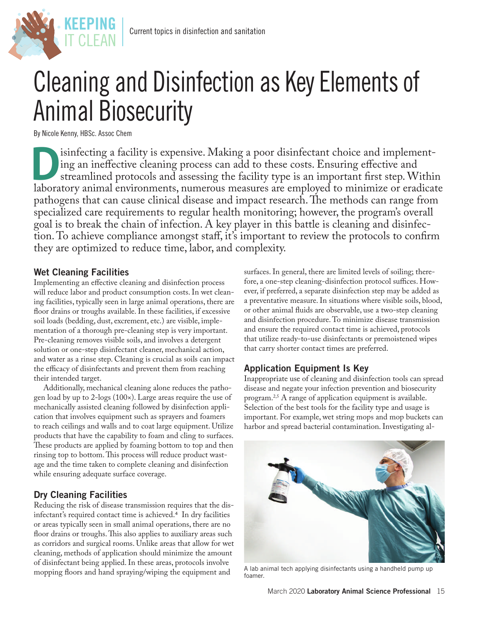

# Cleaning and Disinfection as Key Elements of Animal Biosecurity

By Nicole Kenny, HBSc. Assoc Chem

isinfecting a facility is expensive. Making a poor disinfectant choice and implement-<br>ing an ineffective cleaning process can add to these costs. Ensuring effective and<br>streamlined protocols and assessing the facility type ing an ineffective cleaning process can add to these costs. Ensuring effective and streamlined protocols and assessing the facility type is an important first step. Within laboratory animal environments, numerous measures are employed to minimize or eradicate pathogens that can cause clinical disease and impact research. The methods can range from specialized care requirements to regular health monitoring; however, the program's overall goal is to break the chain of infection. A key player in this battle is cleaning and disinfection. To achieve compliance amongst staff, it's important to review the protocols to confirm they are optimized to reduce time, labor, and complexity.

#### Wet Cleaning Facilities

Implementing an effective cleaning and disinfection process will reduce labor and product consumption costs. In wet cleaning facilities, typically seen in large animal operations, there are floor drains or troughs available. In these facilities, if excessive soil loads (bedding, dust, excrement, etc.) are visible, implementation of a thorough pre-cleaning step is very important. Pre-cleaning removes visible soils, and involves a detergent solution or one-step disinfectant cleaner, mechanical action, and water as a rinse step. Cleaning is crucial as soils can impact the efficacy of disinfectants and prevent them from reaching their intended target.

Additionally, mechanical cleaning alone reduces the pathogen load by up to 2-logs (100×). Large areas require the use of mechanically assisted cleaning followed by disinfection application that involves equipment such as sprayers and foamers to reach ceilings and walls and to coat large equipment. Utilize products that have the capability to foam and cling to surfaces. These products are applied by foaming bottom to top and then rinsing top to bottom. This process will reduce product wastage and the time taken to complete cleaning and disinfection while ensuring adequate surface coverage.

## Dry Cleaning Facilities

Reducing the risk of disease transmission requires that the disinfectant's required contact time is achieved.4 In dry facilities or areas typically seen in small animal operations, there are no floor drains or troughs. This also applies to auxiliary areas such as corridors and surgical rooms. Unlike areas that allow for wet cleaning, methods of application should minimize the amount of disinfectant being applied. In these areas, protocols involve mopping floors and hand spraying/wiping the equipment and

surfaces. In general, there are limited levels of soiling; therefore, a one-step cleaning-disinfection protocol suffices. However, if preferred, a separate disinfection step may be added as a preventative measure. In situations where visible soils, blood, or other animal fluids are observable, use a two-step cleaning and disinfection procedure. To minimize disease transmission and ensure the required contact time is achieved, protocols that utilize ready-to-use disinfectants or premoistened wipes that carry shorter contact times are preferred.

## Application Equipment Is Key

Inappropriate use of cleaning and disinfection tools can spread disease and negate your infection prevention and biosecurity program.2,5 A range of application equipment is available. Selection of the best tools for the facility type and usage is important. For example, wet string mops and mop buckets can harbor and spread bacterial contamination. Investigating al-



A lab animal tech applying disinfectants using a handheld pump up foamer.